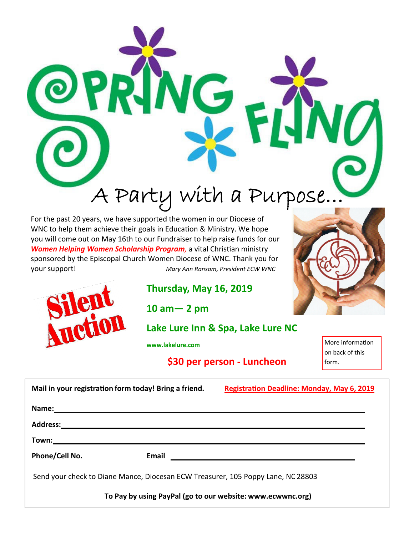

For the past 20 years, we have supported the women in our Diocese of WNC to help them achieve their goals in Education & Ministry. We hope you will come out on May 16th to our Fundraiser to help raise funds for our **Women Helping Women Scholarship Program**, a vital Christian ministry sponsored by the Episcopal Church Women Diocese of WNC. Thank you for your support! *Mary Ann Ransom, President ECW WNC* 

**PHOL** 



**10 am— 2 pm** 

# **Lake Lure Inn & Spa, Lake Lure NC**

**www.lakelure.com** 

**\$30 per person ‐ Luncheon** 

More information on back of this form.

| Mail in your registration form today! Bring a friend.                                                                                   | <b>Registration Deadline: Monday, May 6, 2019</b>                                                                    |
|-----------------------------------------------------------------------------------------------------------------------------------------|----------------------------------------------------------------------------------------------------------------------|
|                                                                                                                                         |                                                                                                                      |
| <b>Address:</b><br><u> 1980 - Jan Samuel Barbara, menyebaran banyak bagian banyak banyak di sebagai sebagai sebagai sebagai sebagai</u> |                                                                                                                      |
| Town:                                                                                                                                   |                                                                                                                      |
| Phone/Cell No. 50 Email                                                                                                                 | <u> 1980 - Jan Samuel Barbara, martin di sebagai personal di sebagai personal di sebagai personal di sebagai per</u> |
| Send your check to Diane Mance, Diocesan ECW Treasurer, 105 Poppy Lane, NC 28803                                                        |                                                                                                                      |
| To Pay by using PayPal (go to our website: www.ecwwnc.org)                                                                              |                                                                                                                      |